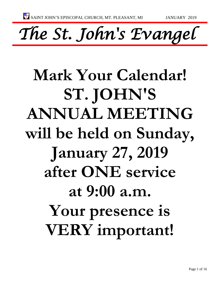*The St. John's Evangel* 

# **Mark Your Calendar! ST. JOHN'S ANNUAL MEETING will be held on Sunday, January 27, 2019 after ONE service at 9:00 a.m. Your presence is VERY important!**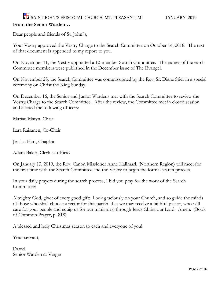### SAINT JOHN'S EPISCOPAL CHURCH, MT. PLEASANT, MI JANUARY 2019 **From the Senior Warden…**

Dear people and friends of St. John"s,

Your Vestry approved the Vestry Charge to the Search Committee on October 14, 2018. The text of that document is appended to my report to you.

On November 11, the Vestry appointed a 12-member Search Committee. The names of the earch Committee members were published in the December issue of The Evangel.

On November 25, the Search Committee was commissioned by the Rev. Sr. Diane Stier in a special ceremony on Christ the King Sunday.

On December 16, the Senior and Junior Wardens met with the Search Committee to review the Vestry Charge to the Search Committee. After the review, the Committee met in closed session and elected the following officers:

Marian Matyn, Chair

Lara Raisanen, Co-Chair

Jessica Hart, Chaplain

Adam Baker, Clerk ex officio

On January 13, 2019, the Rev. Canon Missioner Anne Hallmark (Northern Region) will meet for the first time with the Search Committee and the Vestry to begin the formal search process.

In your daily prayers during the search process, I bid you pray for the work of the Search Committee:

Almighty God, giver of every good gift: Look graciously on your Church, and so guide the minds of those who shall choose a rector for this parish, that we may receive a faithful pastor, who will care for your people and equip us for our ministries; through Jesus Christ our Lord. Amen. (Book of Common Prayer, p. 818)

A blessed and holy Christmas season to each and everyone of you!

Your servant,

David Senior Warden & Verger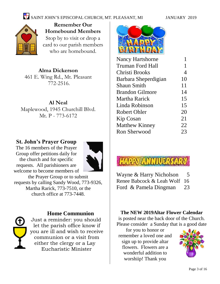

**Remember Our Homebound Members** Stop by to visit or drop a card to our parish members who are homebound.

**Alma Dickerson** 461 E. Wing Rd., Mt. Pleasant 772-2516.

**Al Neal** Maplewood, 1945 Churchill Blvd. Mt. P - 773-6172

#### **St. John's Prayer Group**

The 16 members of the Prayer Group offer petitions daily for the church and for specific requests. All parishioners are welcome to become members of



the Prayer Group or to submit requests by calling Sandy Wood, 773-9326, Martha Rarick, 773-7510, or the church office at 773-7448.



#### **Home Communion**

Just a reminder: you should let the parish office know if you are ill and wish to receive communion or a visit from either the clergy or a Lay Eucharistic Minister



| <b>Nancy Hartshorne</b> |    |
|-------------------------|----|
| <b>Truman Ford Hall</b> | 1  |
| Christi Brooks          | 4  |
| Barbara Sheperdigian    | 10 |
| <b>Shaun Smith</b>      | 11 |
| <b>Brandon Gilmore</b>  | 14 |
| Martha Rarick           | 15 |
| Linda Robinson          | 15 |
| <b>Robert Ohler</b>     | 20 |
| <b>Kip Cosan</b>        | 21 |
| <b>Matthew Kinney</b>   | 22 |
| <b>Ron Sherwood</b>     | 23 |
|                         |    |



| Wayne & Harry Nicholson      | 5  |
|------------------------------|----|
| Renee Babcock & Leah Wolf 16 |    |
| Ford & Pamela Dingman        | 23 |

#### **The NEW 2019Altar Flower Calendar**

is posted near the back door of the Church. Please consider a Sunday that is a good date

for you to honor or remember a loved one and sign up to provide altar flowers. Flowers are a wonderful addition to worshiip! Thank you

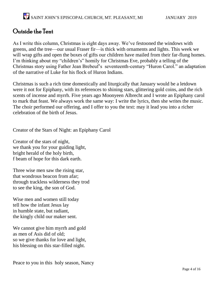## Outside the Tent

As I write this column, Christmas is eight days away. We've festooned the windows with greens, and the tree—our usual Fraser fir—is thick with ornaments and lights. This week we will wrap gifts and open the boxes of gifts our children have mailed from their far-flung homes. I'm thinking about my "children's" homily for Christmas Eve, probably a telling of the Christmas story using Father Jean Brebeuf's seventeenth-century "Huron Carol." an adaptation of the narrative of Luke for his flock of Huron Indians.

Christmas is such a rich time domestically and liturgically that January would be a letdown were it not for Epiphany, with its references to shining stars, glittering gold coins, and the rich scents of incense and myrrh. Five years ago Moonyeen Albrecht and I wrote an Epiphany carol to mark that feast. We always work the same way: I write the lyrics, then she writes the music. The choir performed our offering, and I offer to you the text: may it lead you into a richer celebration of the birth of Jesus.

Creator of the Stars of Night: an Epiphany Carol

Creator of the stars of night, we thank you for your guiding light, bright herald of the holy birth, f beam of hope for this dark earth.

Three wise men saw the rising star, that wondrous beacon from afar; through trackless wilderness they trod to see the king, the son of God.

Wise men and women still today tell how the infant Jesus lay in humble state, but radiant, the kingly child our maker sent.

We cannot give him myrrh and gold as men of Asis did of old; so we give thanks for love and light, his blessing on this star-filled night.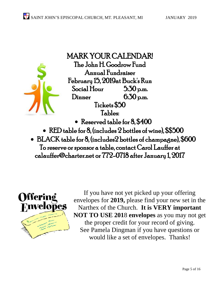

MARK YOUR CALENDAR! The John H. Goodrow Fund Annual Fundraiser February 15, 2019at Buck's Run Social Hour 5:30 p.m. Dinner 6:30 p.m. Tickets \$50 Tables: • Reserved table for 8, \$400 • RED table for 8, (includes 2 bottles of wine), \$\$500

• BLACK table for 8, (includes2 bottles of champagne), \$600 To reserve or sponsor a table, contact Carol Lauffer at calauffer@charter.net or 772-0718 after January 1, 2017



If you have not yet picked up your offering envelopes for **2019,** please find your new set in the Narthex of the Church. **It is VERY important NOT TO USE 201**8 **envelopes** as you may not get the proper credit for your record of giving. See Pamela Dingman if you have questions or would like a set of envelopes. Thanks!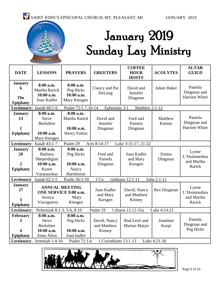

## January 2019 Sunday Lay Ministry

| <b>DATE</b>                                                                                       | <b>LESSONS</b>                                                                  | <b>PRAYERS</b>                                                  | <b>GREETERS</b>                       | <b>COFFEE</b><br><b>HOUR</b><br><b>HOSTS</b> | <b>ACOLYTES</b>   | <b>ALTAR</b><br><b>GUILD</b>                   |
|---------------------------------------------------------------------------------------------------|---------------------------------------------------------------------------------|-----------------------------------------------------------------|---------------------------------------|----------------------------------------------|-------------------|------------------------------------------------|
| <b>January</b><br>6<br>The<br><b>Epiphany</b>                                                     | 8:00 a.m.<br><b>Martha Rarick</b><br>10:00 a.m.<br>Joan Kadler                  | 8:00 a.m.<br>Peg Hicks<br>10:00 a.m.<br>Mary Kiesgen            | Clancy and Pat<br>DeLong              | David and<br>Jennifer<br>Dingman             | <b>Adam Baker</b> | Pamela<br>Dingman and<br>Harriett White        |
|                                                                                                   | Lectionary: Isaiah 60:1-6                                                       | Psalm 72:1-7,10-14                                              | Ephesians 3:1                         | Matthew 2:1-12                               |                   |                                                |
| <b>January</b><br>13<br>1<br><b>Epiphany</b>                                                      | 8:00 a.m.<br><b>Steve</b><br><b>Berkshire</b><br>10:00 a.m.<br>Mary Kiesgen     | 8:00 a.m.<br>Martha Rarick<br>10:00 a.m.<br><b>Henry Fulton</b> | David and<br>Jennifer<br>Dingman      | Ford and<br>Pamela<br>Dingman                | Matthew<br>Kinney | Pamela<br>Dingman and<br><b>Harriett White</b> |
|                                                                                                   | Lectionary: Isaiah 43:1-7                                                       | Psalm 29                                                        | Acts 8:14-17                          | Luke 3:15-17, 21-22                          |                   |                                                |
| <b>January</b><br>20<br>$\overline{2}$<br><b>Epiphany</b>                                         | 8:00 a.m.<br>Barbara<br>Sheperdigian<br>10:00 a.m.<br>Karen<br>Varanauskas      | 8:00 a.m.<br>Peg Hicks<br>10:00 a.m.<br>Nancy<br>Hartshorne     | Ford and<br>Pamela<br>Dingman         | Joan Kadler<br>and Mary<br>Kiesgen           | Emma<br>Dingman   | Lynne<br>L'Hommedieu<br>and Martha<br>Rarick   |
|                                                                                                   | Lectionary: Isaiah 62:1-5                                                       | Psalm 36:5-10                                                   | 1 Co                                  | rinthians 12:1-11                            | John 2:1-11       |                                                |
| <b>January</b><br>27<br>3<br>Epiphany                                                             | <b>ANNUAL MEETING</b><br><b>ONE SERVICE 9:00 a.m.</b><br>Jessica<br>Vinciguerra | Mary<br>Kiesgen                                                 | Joan Kadler<br>and Mary<br>Kiesgen    | David, Nancy<br>and Matthew<br>Kinney        | Rex Dingman       | Lynne<br>L'Hommedieu<br>and Martha<br>Rarick   |
| <b>Lectionary:</b><br>Psalm 19<br>1 thians 12:12-31a<br>Luke 4:14-21<br>Nehemiah 8:1-3, 5-6, 8-10 |                                                                                 |                                                                 |                                       |                                              |                   |                                                |
| February<br>3<br>4<br>Epiphany                                                                    | 8:00 a.m.<br><b>Steve</b><br><b>Berkshire</b><br>10:00 a.m.<br>Anne Alton       | 8:00 a.m.<br>Peg Hicks<br>10:00 a.m.<br>Joan kadler             | David, Nancy<br>and Matthew<br>Kinney | Rod Lesli and<br>Marian Matyn                | Jonathan<br>Korpi | Pamela<br>Dingman and<br>Peg Hicks             |
| Lectionary: Jeremiah 1:4-10<br>1 Corinthians 13:1-13<br>Luke 4:21-30<br>Psalm 71:1-6              |                                                                                 |                                                                 |                                       |                                              |                   |                                                |



Page 6 of 16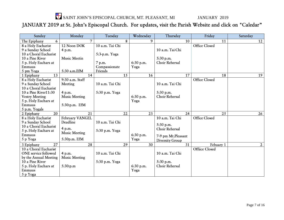SAINT JOHN'S EPISCOPAL CHURCH, MT. PLEASANT, MI JANUARY 2019

JANUARY 2019 at St. John's Episcopal Church. For updates, visit the Parish Website and click on "Caledar"

| Sunday                        | Monday               | Tuesday         | Wednesday | Thursday           | Friday               | Saturday       |
|-------------------------------|----------------------|-----------------|-----------|--------------------|----------------------|----------------|
| 6<br>The Epiphany             | $\overline{7}$       | 8               | 9         | 10                 | 11                   | 12             |
| 8 a Holy Eucharist            | 12 Noon DOK          | 10 a.m. Tai Chi |           |                    | <b>Office Closed</b> |                |
| 9 a Sunday School             | 4 p.m.               |                 |           | 10 a.m. Tai Chi    |                      |                |
| 10 a Choral Eucharist         |                      | $5:3-p.m. Yoga$ |           |                    |                      |                |
| 10 a Pine River               | Music Meetin         |                 |           | $5:30$ p.m.        |                      |                |
| 5 p. Holy Euchars at          |                      | 7 p.m.          | 6:30 p.m. | Choir Rehersal     |                      |                |
| Emmaus                        |                      | Compassionate   | Yoga      |                    |                      |                |
| 5 pm Yoga                     | 5:30 a.m.EfM         | Friends         |           |                    |                      |                |
| 13<br>1 Epiphany              | 14                   | 15              | 16        | 17                 | 18                   | 19             |
| 8 a Holy Eucharist            | 9:30 a.m. Staff      |                 |           |                    | <b>Office Closed</b> |                |
| 9 a Sunday School             | Meeting              | 10 a.m. Tai Chi |           | 10 a.m. Tai Chi    |                      |                |
| 10 a Choral Eucharist         |                      |                 |           |                    |                      |                |
| 10 a Pine River11:30          | 4 p.m.               | 5:30 p.m. Yoga  |           | 5:30 p.m.          |                      |                |
| <b>Vestry Meeting</b>         | <b>Music Meeting</b> |                 | 6:30 p.m. | Choir Rehersal     |                      |                |
| 5 p. Holy Euchars at          |                      |                 | Yoga      |                    |                      |                |
| Emmaus                        | 5:30:p.m. EfM        |                 |           |                    |                      |                |
| 5 p.m. Yogals                 |                      |                 |           |                    |                      |                |
| $\overline{20}$<br>2 Epiphany | 21                   | 22              | 23        | 24                 | $\overline{25}$      | 26             |
| 8 a Holy Eucharist            | February VANGEL      |                 |           | 10 a.m. Tai Chi    | <b>Office Closed</b> |                |
| 9 a Sunday School             | Deadline             | 10 a.m. Tai Chi |           | 5:30 p.m.          |                      |                |
| 10 a Choral Eucharist         | 4 p.m.               |                 |           | Choir Rehersal     |                      |                |
| 5 p. Holy Euchars at          | <b>Music Meeting</b> | 5:30 p.m. Yoga  |           |                    |                      |                |
| Emmaus                        |                      |                 | 6:30 p.m. | 7-9 pm Mt.Pleasant |                      |                |
| 5 p Yoga                      | 5:30p.m. EfM         |                 | Yoga      | Diversity Group    |                      |                |
| 27<br>3 Epiphany              | 28                   | 29              | 30        | 31                 | Febuary 1            | $\overline{2}$ |
| 10 a Choral Eucharist         |                      |                 |           |                    | Offiice Closed       |                |
| ONE service followed          | 4 p.m.               | 10 a.m. Tai Chi |           | 10 a.m. Tai Chi    |                      |                |
| by the Annual Meeting         | <b>Music Meeting</b> |                 |           |                    |                      |                |
| 10 a Pine River               |                      | 5:30 p.m. Yoga  |           | 5:30 p.m.          |                      |                |
| 5 p. Holy Euchars at          | 5:30:p.m             |                 | 6:30 p.m. | Choir Rehersal     |                      |                |
| Emmaus                        |                      |                 | Yoga      |                    |                      |                |
| 5 p Yoga                      |                      |                 |           |                    |                      |                |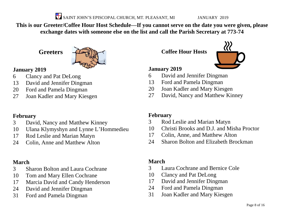SAINT JOHN'S EPISCOPAL CHURCH, MT. PLEASANT, MI JANUARY 2019

**This is our Greeter/Coffee Hour Host Schedule—If you cannot serve on the date you were given, please exchange dates with someone else on the list and call the Parish Secretary at 773-74**

**Greeters**



#### **January 2019**

- Clancy and Pat DeLong
- David and Jennifer Dingman
- Ford and Pamela Dingman
- Joan Kadler and Mary Kiesgen

#### **February**

- David, Nancy and Matthew Kinney
- Ulana Klymyshyn and Lynne L'Hommedieu
- Rod Leslie and Marian Matyn
- Colin, Anne and Matthew Alton

#### **March**

- Sharon Bolton and Laura Cochrane
- Tom and Mary Ellen Cochrane
- Marcia David and Candy Henderson
- David and Jennifer Dingman
- Ford and Pamela Dingman

**Coffee Hour Hosts**



#### **January 2019**

- David and Jennifer Dingman
- Ford and Pamela Dingman
- Joan Kadler and Mary Kiesgen
- David, Nancy and Matthew Kinney

#### **February**

- Rod Leslie and Marian Matyn
- Christi Brooks and D.J. and Misha Proctor
- Colin, Anne, and Matthew Alton
- Sharon Bolton and Elizabeth Brockman

#### **March**

- Laura Cochrane and Bernice Cole
- Clancy and Pat DeLong
- David and Jennifer Dingman
- Ford and Pamela Dingman
- Joan Kadler and Mary Kiesgen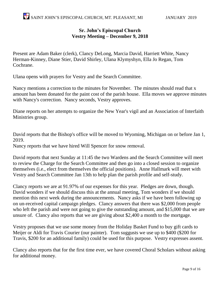#### **Sr. John's Episcopal Church Vestry Meeting – December 9, 2018**

Present are Adam Baker (clerk), Clancy DeLong, Marcia David, Harriett White, Nancy Herman-Kinney, Diane Stier, David Shirley, Ulana Klymyshyn, Ella Jo Regan, Tom Cochrane.

Ulana opens with prayers for Vestry and the Search Committee.

Nancy mentions a correction to the minutes for November. The minutes should read that x amount has been donated for the paint cost of the parish house. Ella moves we approve minutes with Nancy's correction. Nancy seconds, Vestry approves.

Diane reports on her attempts to organize the New Year's vigil and an Association of Interfaith Ministries group.

David reports that the Bishop's office will be moved to Wyoming, Michigan on or before Jan 1, 2019.

Nancy reports that we have hired Will Spencer for snow removal.

David reports that next Sunday at 11:45 the two Wardens and the Search Committee will meet to review the Charge for the Search Committee and then go into a closed session to organize themselves (i.e., elect from themselves the official positions). Anne Hallmark will meet with Vestry and Search Committee Jan 13th to help plan the parish profile and self-study.

Clancy reports we are at 91.97% of our expenses for this year. Pledges are down, though. David wonders if we should discuss this at the annual meeting, Tom wonders if we should mention this next week during the announcements. Nancy asks if we have been following up on un-received capital campaign pledges. Clancy answers that there was \$2,000 from people who left the parish and were not going to give the outstanding amount, and \$15,000 that we are unsure of. Clancy also reports that we are giving about \$2,400 a month to the mortgage.

Vestry proposes that we use some money from the Holiday Basket Fund to buy gift cards to Meijer or Aldi for Travis Courier (our painter). Tom suggusts we use up to \$400 (\$200 for Travis, \$200 for an additional family) could be used for this purpose. Vestry expresses assent.

Clancy also reports that for the first time ever, we have covered Choral Scholars without asking for additional money.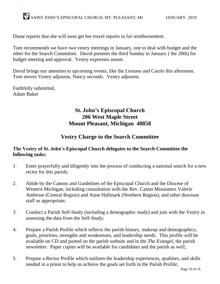Diane reports that she will soon get her travel reports in for reimbursement.

Tom recommends we have two vestry meetings in January, one to deal with budget and the other for the Search Committee. David presents the third Sunday in January ( the 20th) for budget meeting and approval. Vestry expresses assent.

David brings our attention to upcoming events, like the Lessons and Carols this afternoon. Tom moves Vestry adjourns, Nancy seconds. Vestry adjourns.

Faithfully submitted, Adam Baker

#### **St. John's Episcopal Church 206 West Maple Street Mount Pleasant, Michigan 48858**

#### **Vestry Charge to the Search Committee**

#### **The Vestry of St. John's Episcopal Church delegates to the Search Committee the following tasks:**

- 1. Enter prayerfully and diligently into the process of conducting a national search for a new rector for this parish;
- 2. Abide by the Canons and Guidelines of the Episcopal Church and the Diocese of Western Michigan, including consultation with the Rev. Canon Missioners Valerie Ambrose (Central Region) and Anne Hallmark (Northern Region), and other diocesan staff as appropriate;
- 3. Conduct a Parish Self-Study (including a demographic study) and join with the Vestry in assessing the data from the Self-Study;
- 4. Prepare a Parish Profile which reflects the parish history, makeup and demographics, goals, priorities, strengths and weaknesses, and leadership needs. This profile will be available on CD and posted on the parish website and in the *The Evangel*, the parish newsletter. Paper copies will be available for candidates and the parish as well;
- 5. Prepare a Rector Profile which outlines the leadership experiences, qualities, and skills needed in a priest to help us achieve the goals set forth in the Parish Profile;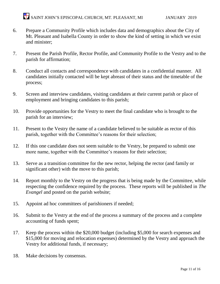- 6. Prepare a Community Profile which includes data and demographics about the City of Mt. Pleasant and Isabella County in order to show the kind of setting in which we exist and minister;
- 7. Present the Parish Profile, Rector Profile, and Community Profile to the Vestry and to the parish for affirmation;
- 8. Conduct all contacts and correspondence with candidates in a confidential manner. All candidates initially contacted will be kept abreast of their status and the timetable of the process;
- 9. Screen and interview candidates, visiting candidates at their current parish or place of employment and bringing candidates to this parish;
- 10. Provide opportunities for the Vestry to meet the final candidate who is brought to the parish for an interview;
- 11. Present to the Vestry the name of a candidate believed to be suitable as rector of this parish, together with the Committee's reasons for their selection;
- 12. If this one candidate does not seem suitable to the Vestry, be prepared to submit one more name, together with the Committee's reasons for their selection;
- 13. Serve as a transition committee for the new rector, helping the rector (and family or significant other) with the move to this parish;
- 14. Report monthly to the Vestry on the progress that is being made by the Committee, while respecting the confidence required by the process. These reports will be published in *The Evangel* and posted on the parish website;
- 15. Appoint ad hoc committees of parishioners if needed;
- 16. Submit to the Vestry at the end of the process a summary of the process and a complete accounting of funds spent;
- 17. Keep the process within the \$20,000 budget (including \$5,000 for search expenses and \$15,000 for moving and relocation expenses) determined by the Vestry and approach the Vestry for additional funds, if necessary;
- 18. Make decisions by consensus.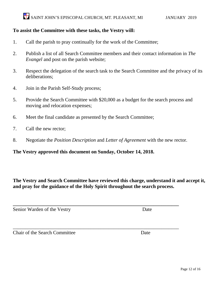#### **To assist the Committee with these tasks, the Vestry will:**

- 1. Call the parish to pray continually for the work of the Committee;
- 2. Publish a list of all Search Committee members and their contact information in *The Evangel* and post on the parish website;
- 3. Respect the delegation of the search task to the Search Committee and the privacy of its deliberations;
- 4. Join in the Parish Self-Study process;
- 5. Provide the Search Committee with \$20,000 as a budget for the search process and moving and relocation expenses;
- 6. Meet the final candidate as presented by the Search Committee;
- 7. Call the new rector;
- 8. Negotiate the *Position Description* and *Letter of Agreement* with the new rector.

**\_\_\_\_\_\_\_\_\_\_\_\_\_\_\_\_\_\_\_\_\_\_\_\_\_\_\_\_\_\_\_\_\_\_\_\_\_\_\_\_\_\_\_\_\_\_\_\_\_\_\_\_\_\_\_\_\_\_\_\_\_\_\_\_\_\_**

#### **The Vestry approved this document on Sunday, October 14, 2018.**

**The Vestry and Search Committee have reviewed this charge, understand it and accept it, and pray for the guidance of the Holy Spirit throughout the search process.**

Senior Warden of the Vestry Date

**Chair of the Search Committee Date** Date

 $\overline{a_1}$  ,  $\overline{a_2}$  ,  $\overline{a_3}$  ,  $\overline{a_4}$  ,  $\overline{a_5}$  ,  $\overline{a_6}$  ,  $\overline{a_7}$  ,  $\overline{a_8}$  ,  $\overline{a_9}$  ,  $\overline{a_9}$  ,  $\overline{a_9}$  ,  $\overline{a_9}$  ,  $\overline{a_9}$  ,  $\overline{a_9}$  ,  $\overline{a_9}$  ,  $\overline{a_9}$  ,  $\overline{a_9}$  ,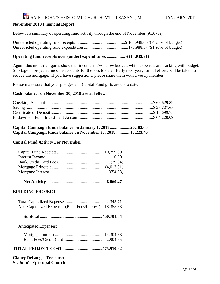## SAINT JOHN'S EPISCOPAL CHURCH, MT. PLEASANT, MI JANUARY 2019

#### **November 2018 Financial Report**

Below is a summary of operating fund activity through the end of November (91.67%).

#### **Operating fund receipts over (under) expenditures................. \$ (15,039.71)**

Again, this month's figures show that income is 7% below budget, while expenses are tracking with budget. Shortage in projected income accounts for the loss to date. Early next year, formal efforts will be taken to reduce the mortgage. If you have suggestions, please share them with a vestry member.

Please make sure that your pledges and Capital Fund gifts are up to date.

#### **Cash balances on November 30, 2018 are as follows:**

| Capital Campaign funds balance on January 1, 201820,103.05    |  |
|---------------------------------------------------------------|--|
| Capital Campaign funds balance on November 30, 2018 15,223.40 |  |

#### **Capital Fund Activity For November:**

 **Net Activity .......................................................6,060.47**

#### **BUILDING PROJECT**

| Non-Capitalized Expenses (Bank Fees/Interest) 18,355.83 |  |
|---------------------------------------------------------|--|

|--|--|--|--|

Anticipated Expenses:

#### **TOTAL PROJECT COST.....................................475,910.92**

**Clancy DeLong, "Treasurer St. John's Episcopal Church**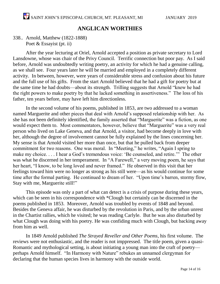#### **ANGLICAN WORTHIES**

#### 338.. Arnold, Matthew (1822-1888) Poet & Essayist (pt. ii)

After the year lecturing at Oriel, Arnold accepted a position as private secretary to Lord Lansdowne, whose was chair of the Privy Council. Terrific connection but poor pay. As I said before, Arnold was undoubtedly writing poetry, an activity for which he had a genuine calling, as we shall see. Four years later he will be married and employed in a completely different activity. In between, however, were years of considerable stress and confusion about his future and the full use of his gifts. From the start Arnold believed that he had a gift for poetry but at the same time he had doubts—about its strength. Trilling suggests that Arnold "knew he had the right powers to make poetry by that he lacked something in assertiveness." The loss of his father, ten years before, may have left him directionless.

In the second volume of his poems, published in 1853, are two addressed to a woman named Marguerite and other pieces that deal with Arnold's supposed relationship with her. As she has not been definitely identified, the family asserted that "Marguerite" was a fiction, as one would expect them to. Most commentators, however, believe that "Marguerite" was a very real person who lived on Lake Geneva, and that Arnold, a visitor, had become deeply in love with her, although the degree of involvement cannot be fully explained by the lines concerning her. My sense is that Arnold visited her more than once, but that he pulled back from deeper commitment for two reasons. One was moral. In "Meeting," he writes, "Again I spring to make my choice. . . . I hear a God's tremendous voice: 'Be counseled, and retire.'" The other was what he discerned in her temperament. In "A Farewell," a very moving poem, he says that her heart, "I know, to be long loved and never framed." He observed in this visit that her feelings toward him were no longer as strong as his still were—as his would continue for some time after the formal parting. He continued to dream of her. "Upon time's barren, stormy flow, Stay with me, Marguerite still!"

This episode was only a part of what can detect is a crisis of purpose during these years, which can be seen in his correspondence with \*Clough but certainly can be discerned in the poems published in 1853. Moreover, Arnold was troubled by events of 1848 and beyond. Besides the Geneva affair, he was disturbed by the revolution in Paris, and by the urban unrest in the Chartist rallies, which he visited; he was reading Carlyle. But he was also disturbed by what Clough was doing with his poetry. He was confiding much with Clough, but backing away from him as well.

In 1849 Arnold published *The Strayed Reveller and Other Poems*, his first volume. The reviews were not enthusiastic, and the reader is not imppressed. The title poem, given a quasi-Romantic and mythological setting, is about initiating a young man into the craft of poetry perhaps Arnold himself. "In Harmony with Nature" rebukes an unnamed clergyman for declaring that the human species lives in harmony with the outside world.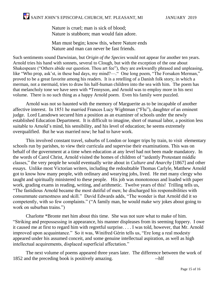Nature is cruel; man is sick of blood; Nature is stubborn; man would fain adore.

Man must begin; know this, where Nature ends Nature and man can never be fast friends.

Such sentiments sound Darwinian, but *Origin of the Species* would not appear for another ten years. Arnold tries his hand with sonnets, several to Clough, but with the exception of the one about Shakespeare ("Others abide our question. Thou art fee"), they are awkwardly phrased and unpleasing, like "Who prop, ask'st, in these bad days, my mind?—." One long poem, "The Forsaken Merman," proved to be a great favorite among his readers. It is a retelling of a Danish folk story, in which a merman, not a mermaid, tries to draw his half-human children into the sea with him. The poem has that melancholy tone we have seen with \*Tennyson, and Arnold was to employ more in his next volume. There is no such thing as a happy Arnold poem. Even his family were puzzled.

Arnold was not so haunted with the memory of Marguerite as to be incapable of another affective interest. In 1851 he married Frances Lucy Wightman ("Flu"), daughter of an eminent judge. Lord Lansdown secured him a position as an examiner of schools under the newly established Education Department. It is difficult to imagine, short of manual labor, a position less suitable to Arnold's mind, his sensibility, and his level of education; he seems extremely overqualified. But he was married now; he had to have work.

This involved constant travel, suburbs of London or longer trips by train, to visit elementary schools run by parishes, to view their curricula and supervise their examinations. This was on behalf of the government at a time when education at any level had not been made mandatory. In the words of Carol Christ, Arnold visited the homes of children of "ardently Protestant middle classes," the very people he would eventually write about in *Culture and Anarchy* [1867] and other essays. Unlike most Victorian writers, including the redoubtable Thomas Carlyle, Matthew Arnold got to know how many people, with ordinary and wearying jobs, lived. He met many clergy who taught and spiritually ministered to these people. His job was monotonous and loaded with paper work, grading exams in reading, writing, and arithmetic. Twelve years of this! Trilling tells us, "The fastidious Arnold became the most dutiful of men; he discharged his responsibilities with consummate earnestness and skill." David Edwards adds, "The wonder is that Arnold did it so competently, with so few complaints." ("A family man, he would make wry jokes about going to work on suburban trains.")

Charlotte \*Bronte met him about this time. She was not sure what to make of him. "Striking and prepossessing in appearance, his manner displeases from its seeming foppery. I owe it caused me at first to regard him with regretful surprise. . . . I was told, however, that Mr. Arnold improved upon acquaintance." So it was, Winifred Gérin tells us, "Ere long a real modesty appeared under his assumed conceit, and some genuine intellectual aspiration, as well as high intellectual acquirements, displaced superficial affectation."

The next volume of poems appeared three years later. The difference between the work of 1852 and the preceding book is positively amazing. --hlf